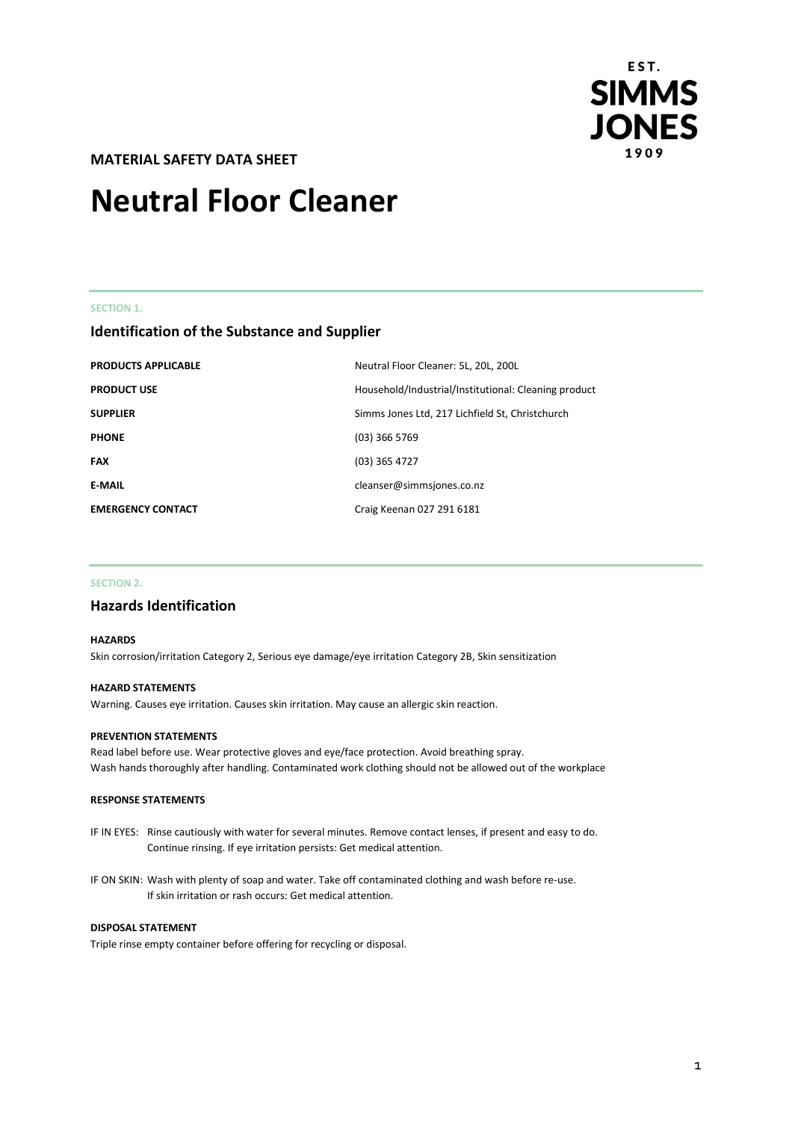

**MATERIAL SAFETY DATA SHEET** 

# **Neutral Floor Cleaner**

#### **SECTION 1.**

### **Identification of the Substance and Supplier**

| <b>PRODUCTS APPLICABLE</b> | Neutral Floor Cleaner: 5L, 20L, 200L                 |
|----------------------------|------------------------------------------------------|
| <b>PRODUCT USE</b>         | Household/Industrial/Institutional: Cleaning product |
| <b>SUPPLIER</b>            | Simms Jones Ltd, 217 Lichfield St, Christchurch      |
| <b>PHONE</b>               | $(03)$ 366 5769                                      |
| <b>FAX</b>                 | $(03)$ 365 4727                                      |
| <b>E-MAIL</b>              | cleanser@simmsjones.co.nz                            |
| <b>EMERGENCY CONTACT</b>   | Craig Keenan 027 291 6181                            |

#### **SECTION 2.**

### **Hazards Identification**

#### **HAZARDS**

Skin corrosion/irritation Category 2, Serious eye damage/eye irritation Category 2B, Skin sensitization

#### **HAZARD STATEMENTS**

Warning. Causes eye irritation. Causes skin irritation. May cause an allergic skin reaction.

#### **PREVENTION STATEMENTS**

Read label before use. Wear protective gloves and eye/face protection. Avoid breathing spray. Wash hands thoroughly after handling. Contaminated work clothing should not be allowed out of the workplace

#### **RESPONSE STATEMENTS**

- IF IN EYES: Rinse cautiously with water for several minutes. Remove contact lenses, if present and easy to do. Continue rinsing. If eye irritation persists: Get medical attention.
- IF ON SKIN: Wash with plenty of soap and water. Take off contaminated clothing and wash before re-use. If skin irritation or rash occurs: Get medical attention.

#### **DISPOSAL STATEMENT**

Triple rinse empty container before offering for recycling or disposal.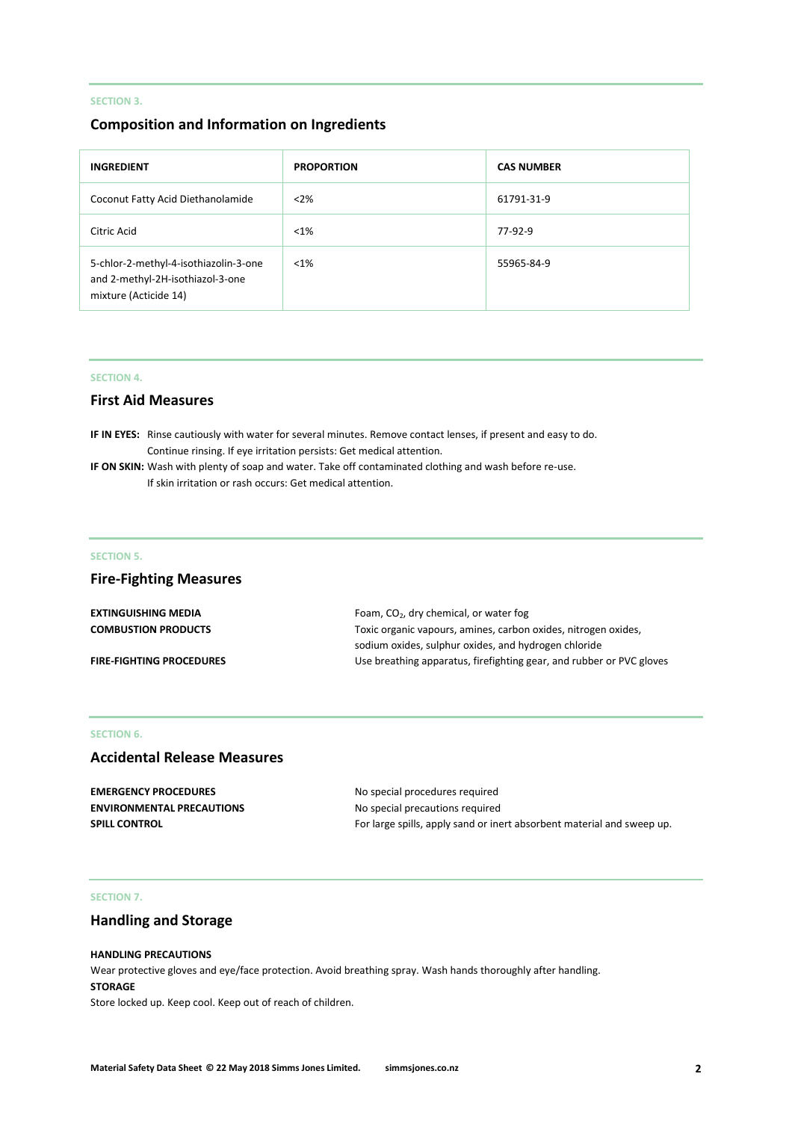### **SECTION 3.**

### **Composition and Information on Ingredients**

| <b>INGREDIENT</b>                                                                                  | <b>PROPORTION</b> | <b>CAS NUMBER</b> |
|----------------------------------------------------------------------------------------------------|-------------------|-------------------|
| Coconut Fatty Acid Diethanolamide                                                                  | $<$ 2%            | 61791-31-9        |
| Citric Acid                                                                                        | $< 1\%$           | 77-92-9           |
| 5-chlor-2-methyl-4-isothiazolin-3-one<br>and 2-methyl-2H-isothiazol-3-one<br>mixture (Acticide 14) | $< 1\%$           | 55965-84-9        |

#### **SECTION 4.**

### **First Aid Measures**

**IF IN EYES:** Rinse cautiously with water for several minutes. Remove contact lenses, if present and easy to do. Continue rinsing. If eye irritation persists: Get medical attention.

**IF ON SKIN:** Wash with plenty of soap and water. Take off contaminated clothing and wash before re-use. If skin irritation or rash occurs: Get medical attention.

#### **SECTION 5.**

### **Fire-Fighting Measures**

| <b>EXTINGUISHING MEDIA</b>      | Foam, $CO2$ , dry chemical, or water fog                             |  |
|---------------------------------|----------------------------------------------------------------------|--|
| <b>COMBUSTION PRODUCTS</b>      | Toxic organic vapours, amines, carbon oxides, nitrogen oxides,       |  |
|                                 | sodium oxides, sulphur oxides, and hydrogen chloride                 |  |
| <b>FIRE-FIGHTING PROCEDURES</b> | Use breathing apparatus, firefighting gear, and rubber or PVC gloves |  |

### **SECTION 6.**

### **Accidental Release Measures**

| <b>EMERGENCY PROCEDURES</b>      | No special procedures required                                         |
|----------------------------------|------------------------------------------------------------------------|
| <b>ENVIRONMENTAL PRECAUTIONS</b> | No special precautions required                                        |
| <b>SPILL CONTROL</b>             | For large spills, apply sand or inert absorbent material and sweep up. |

### **SECTION 7.**

### **Handling and Storage**

### **HANDLING PRECAUTIONS**

Wear protective gloves and eye/face protection. Avoid breathing spray. Wash hands thoroughly after handling. **STORAGE** Store locked up. Keep cool. Keep out of reach of children.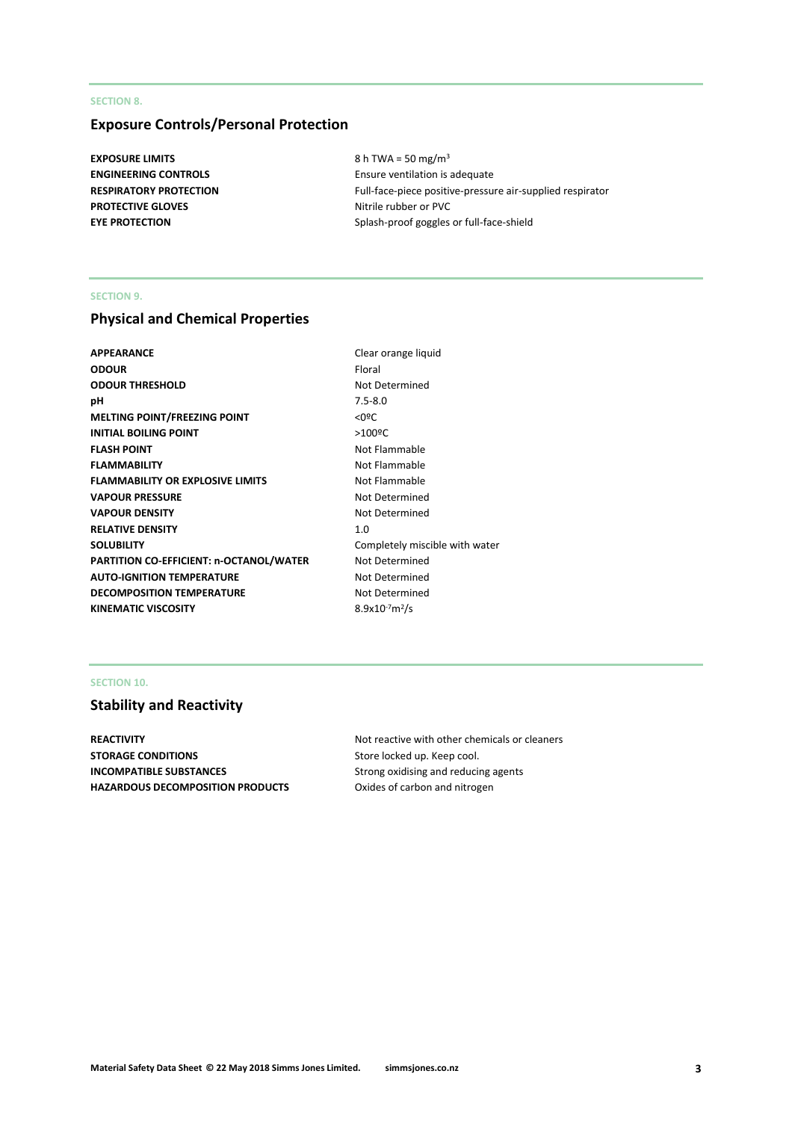### **SECTION 8.**

### **Exposure Controls/Personal Protection**

**EXPOSURE LIMITS** 8 h TWA = 50 mg/m<sup>3</sup> **PROTECTIVE GLOVES** Nitrile rubber or PVC

**ENGINEERING CONTROLS** Ensure ventilation is adequate **RESPIRATORY PROTECTION** Full-face-piece positive-pressure air-supplied respirator **EYE PROTECTION** Splash-proof goggles or full-face-shield

#### **SECTION 9.**

### **Physical and Chemical Properties**

| APPEARANCE                                     | Clear orange           |
|------------------------------------------------|------------------------|
| ODOUR                                          | Floral                 |
| <b>ODOUR THRESHOLD</b>                         | Not Determi            |
| pН                                             | $7.5 - 8.0$            |
| <b>MELTING POINT/FREEZING POINT</b>            | $<$ 0 <sup>o</sup> $<$ |
| <b>INITIAL BOILING POINT</b>                   | $>100$ <sup>o</sup> C  |
| <b>FLASH POINT</b>                             | Not Flammal            |
| <b>FLAMMABILITY</b>                            | Not Flammal            |
| <b>FLAMMABILITY OR EXPLOSIVE LIMITS</b>        | Not Flammal            |
| <b>VAPOUR PRESSURE</b>                         | Not Determi            |
| <b>VAPOUR DENSITY</b>                          | Not Determi            |
| <b>RELATIVE DENSITY</b>                        | 1.0                    |
| SOLUBILITY                                     | Completely r           |
| <b>PARTITION CO-EFFICIENT: n-OCTANOL/WATER</b> | Not Determi            |
| <b>AUTO-IGNITION TEMPERATURE</b>               | Not Determi            |
| <b>DECOMPOSITION TEMPERATURE</b>               | Not Determi            |
| KINEMATIC VISCOSITY                            | $8.9x10^{-7}m^2/s$     |
|                                                |                        |

**Clear orange liquid Not Determined Not Flammable Not Flammable Not Flammable Not Determined Not Determined** Completely miscible with water **Not Determined Not Determined Not Determined** 

### **SECTION 10.**

## **Stability and Reactivity**

**STORAGE CONDITIONS** Store locked up. Keep cool. **INCOMPATIBLE SUBSTANCES** Strong oxidising and reducing agents HAZARDOUS DECOMPOSITION PRODUCTS Oxides of carbon and nitrogen

**REACTIVITY REACTIVITY Not reactive with other chemicals or cleaners**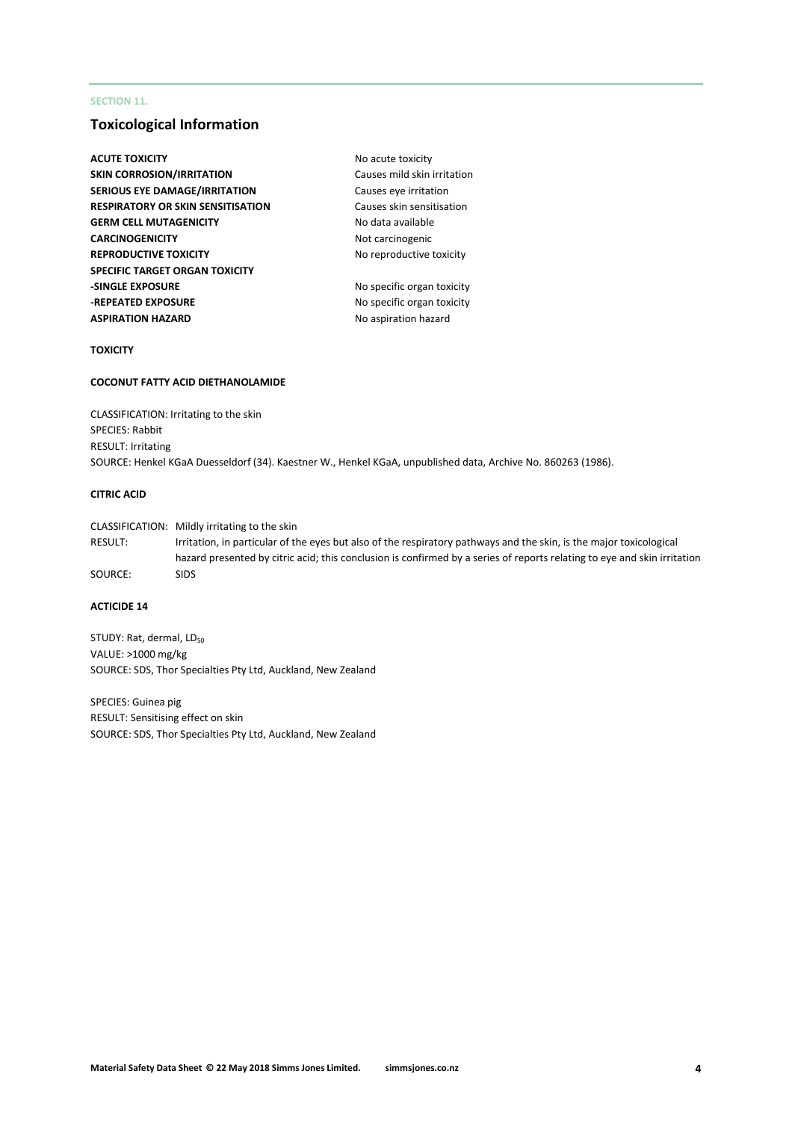### **SECTION 11.**

### **Toxicological Information**

| No acute toxicity           |
|-----------------------------|
| Causes mild skin irritation |
| Causes eye irritation       |
| Causes skin sensitisation   |
| No data available           |
| Not carcinogenic            |
| No reproductive toxicity    |
|                             |
| No specific organ toxicity  |
| No specific organ toxicity  |
| No aspiration hazard        |
|                             |

#### **TOXICITY**

#### **COCONUT FATTY ACID DIETHANOLAMIDE**

CLASSIFICATION: Irritating to the skin SPECIES: Rabbit RESULT: Irritating SOURCE: Henkel KGaA Duesseldorf (34). Kaestner W., Henkel KGaA, unpublished data, Archive No. 860263 (1986).

#### **CITRIC ACID**

CLASSIFICATION: Mildly irritating to the skin RESULT: Irritation, in particular of the eyes but also of the respiratory pathways and the skin, is the major toxicological hazard presented by citric acid; this conclusion is confirmed by a series of reports relating to eye and skin irritation SOURCE: SIDS

### **ACTICIDE 14**

STUDY: Rat, dermal, LD<sub>50</sub> VALUE: >1000 mg/kg SOURCE: SDS, Thor Specialties Pty Ltd, Auckland, New Zealand

SPECIES: Guinea pig RESULT: Sensitising effect on skin SOURCE: SDS, Thor Specialties Pty Ltd, Auckland, New Zealand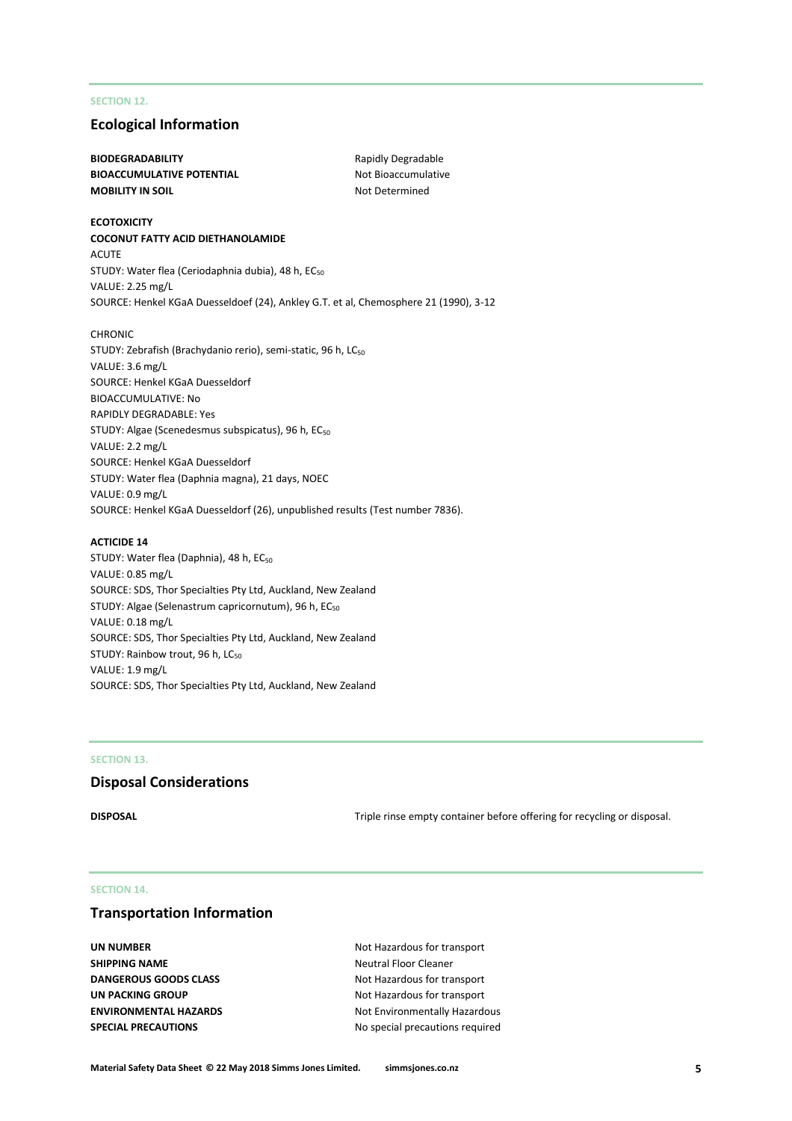### **SECTION 12.**

### **Ecological Information**

### **BIODEGRADABILITY** Rapidly Degradable **BIOACCUMULATIVE POTENTIAL** Not Bioaccumulative **MOBILITY IN SOIL** MOBILITY IN SOIL

#### **ECOTOXICITY**

#### **COCONUT FATTY ACID DIETHANOLAMIDE**

ACUTE STUDY: Water flea (Ceriodaphnia dubia), 48 h, EC<sub>50</sub> VALUE: 2.25 mg/L SOURCE: Henkel KGaA Duesseldoef (24), Ankley G.T. et al, Chemosphere 21 (1990), 3-12

#### **CHRONIC**

STUDY: Zebrafish (Brachydanio rerio), semi-static, 96 h, LC<sub>50</sub> VALUE: 3.6 mg/L SOURCE: Henkel KGaA Duesseldorf BIOACCUMULATIVE: No RAPIDLY DEGRADABLE: Yes STUDY: Algae (Scenedesmus subspicatus), 96 h, EC<sub>50</sub> VALUE: 2.2 mg/L SOURCE: Henkel KGaA Duesseldorf STUDY: Water flea (Daphnia magna), 21 days, NOEC VALUE: 0.9 mg/L SOURCE: Henkel KGaA Duesseldorf (26), unpublished results (Test number 7836).

#### **ACTICIDE 14**

STUDY: Water flea (Daphnia), 48 h, EC<sub>50</sub> VALUE: 0.85 mg/L SOURCE: SDS, Thor Specialties Pty Ltd, Auckland, New Zealand STUDY: Algae (Selenastrum capricornutum), 96 h, EC<sub>50</sub> VALUE: 0.18 mg/L SOURCE: SDS, Thor Specialties Pty Ltd, Auckland, New Zealand STUDY: Rainbow trout, 96 h, LC<sub>50</sub> VALUE: 1.9 mg/L SOURCE: SDS, Thor Specialties Pty Ltd, Auckland, New Zealand

#### **SECTION 13.**

### **Disposal Considerations**

**DISPOSAL** DISPOSAL **Triple rinse empty container before offering for recycling or disposal.** 

#### **SECTION 14.**

### **Transportation Information**

**SHIPPING NAME** Neutral Floor Cleaner

**UN NUMBER** Not Hazardous for transport **DANGEROUS GOODS CLASS** Not Hazardous for transport **UN PACKING GROUP** Not Hazardous for transport **ENVIRONMENTAL HAZARDS** Not Environmentally Hazardous **SPECIAL PRECAUTIONS** No special precautions required